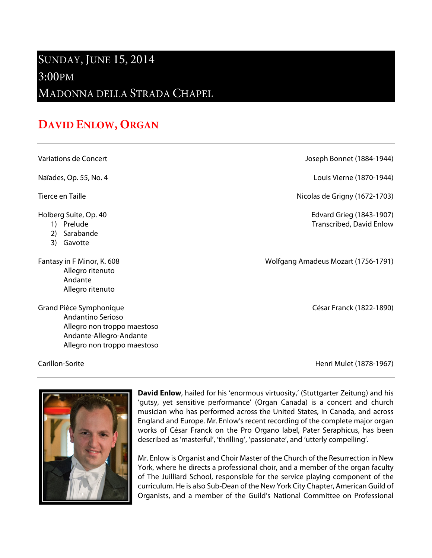## SUNDAY, JUNE 15, 2014

## 3:00PM

MADONNA DELLA STRADA CHAPEL

## **DAVID ENLOW, ORGAN**

Variations de Concert Joseph Bonnet (1884-1944)

Naïades, Op. 55, No. 4 **Louis Vierne (1870-1944**)

Tierce en Taille **Nicolas de Grigny (1672-1703)** 

Holberg Suite, Op. 40 Edvard Grieg (1843-1907)

- 1) Prelude Transcribed, David Enlow
- 2) Sarabande
- 3) Gavotte

Allegro ritenuto Andante Allegro ritenuto

Grand Pièce Symphonique **César Franck (1822-1890**) (Grand Pièce Symphonique Andantino Serioso Allegro non troppo maestoso Andante-Allegro-Andante Allegro non troppo maestoso

Fantasy in F Minor, K. 608 September 2014 and Molfgang Amadeus Mozart (1756-1791)

Carillon-Sorite Henri Mulet (1878-1967)



**David Enlow**, hailed for his 'enormous virtuosity,' (Stuttgarter Zeitung) and his 'gutsy, yet sensitive performance' (Organ Canada) is a concert and church musician who has performed across the United States, in Canada, and across England and Europe. Mr. Enlow's recent recording of the complete major organ works of César Franck on the Pro Organo label, Pater Seraphicus, has been described as 'masterful', 'thrilling', 'passionate', and 'utterly compelling'.

Mr. Enlow is Organist and Choir Master of the Church of the Resurrection in New York, where he directs a professional choir, and a member of the organ faculty of The Juilliard School, responsible for the service playing component of the curriculum. He is also Sub-Dean of the New York City Chapter, American Guild of Organists, and a member of the Guild's National Committee on Professional